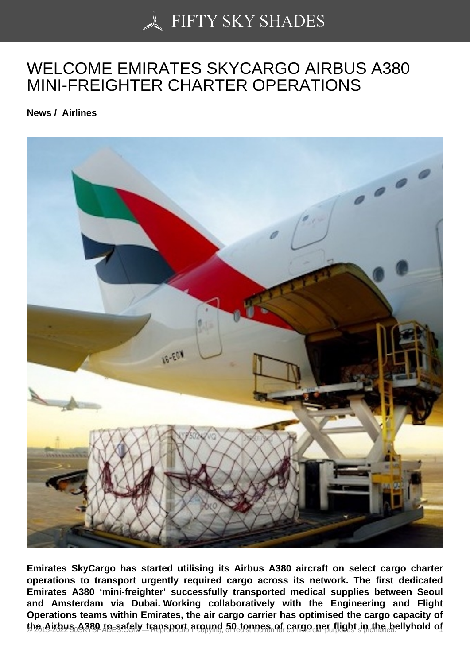## [WELCOME EMIRATES](https://50skyshades.com) SKYCARGO AIRBUS A380 MINI-FREIGHTER CHARTER OPERATIONS

News / Airlines

Emirates SkyCargo has started utilising its Airbus A380 aircraft on select cargo charter operations to transport urgently required cargo across its network. The first dedicated Emirates A380 'mini-freighter' successfully transported medical supplies between Seoul and Amsterdam via Dubai. Working collaboratively with the Engineering and Flight Operations teams within Emirates, the air cargo carrier has optimised the cargo capacity of the Airbus  $A$ 380 to safely transport around 50 tonnes of cargo per flight in the bellyhold of  $A$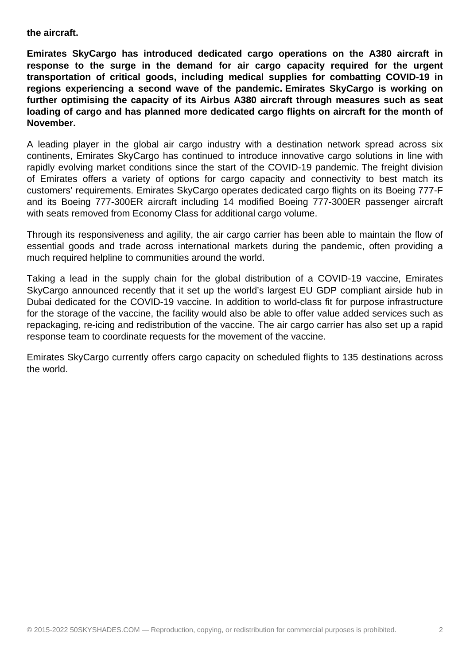**the aircraft.**

**Emirates SkyCargo has introduced dedicated cargo operations on the A380 aircraft in response to the surge in the demand for air cargo capacity required for the urgent transportation of critical goods, including medical supplies for combatting COVID-19 in regions experiencing a second wave of the pandemic. Emirates SkyCargo is working on further optimising the capacity of its Airbus A380 aircraft through measures such as seat loading of cargo and has planned more dedicated cargo flights on aircraft for the month of November.**

A leading player in the global air cargo industry with a destination network spread across six continents, Emirates SkyCargo has continued to introduce innovative cargo solutions in line with rapidly evolving market conditions since the start of the COVID-19 pandemic. The freight division of Emirates offers a variety of options for cargo capacity and connectivity to best match its customers' requirements. Emirates SkyCargo operates dedicated cargo flights on its Boeing 777-F and its Boeing 777-300ER aircraft including 14 modified Boeing 777-300ER passenger aircraft with seats removed from Economy Class for additional cargo volume.

Through its responsiveness and agility, the air cargo carrier has been able to maintain the flow of essential goods and trade across international markets during the pandemic, often providing a much required helpline to communities around the world.

Taking a lead in the supply chain for the global distribution of a COVID-19 vaccine, Emirates SkyCargo announced recently that it set up the world's largest EU GDP compliant airside hub in Dubai dedicated for the COVID-19 vaccine. In addition to world-class fit for purpose infrastructure for the storage of the vaccine, the facility would also be able to offer value added services such as repackaging, re-icing and redistribution of the vaccine. The air cargo carrier has also set up a rapid response team to coordinate requests for the movement of the vaccine.

Emirates SkyCargo currently offers cargo capacity on scheduled flights to 135 destinations across the world.